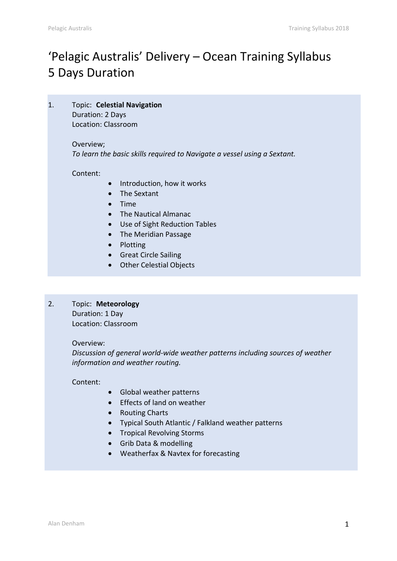# 'Pelagic Australis' Delivery – Ocean Training Syllabus 5 Days Duration

1. Topic: **Celestial Navigation** Duration: 2 Days Location: Classroom

## Overview;

*To learn the basic skills required to Navigate a vessel using a Sextant.*

#### Content:

- Introduction, how it works
- The Sextant
- Time
- The Nautical Almanac
- Use of Sight Reduction Tables
- The Meridian Passage
- Plotting
- Great Circle Sailing
- Other Celestial Objects
- 2. Topic: **Meteorology** Duration: 1 Day

Location: Classroom

#### Overview:

*Discussion of general world-wide weather patterns including sources of weather information and weather routing.*

Content:

- Global weather patterns
- **•** Effects of land on weather
- Routing Charts
- Typical South Atlantic / Falkland weather patterns
- **•** Tropical Revolving Storms
- Grib Data & modelling
- Weatherfax & Navtex for forecasting